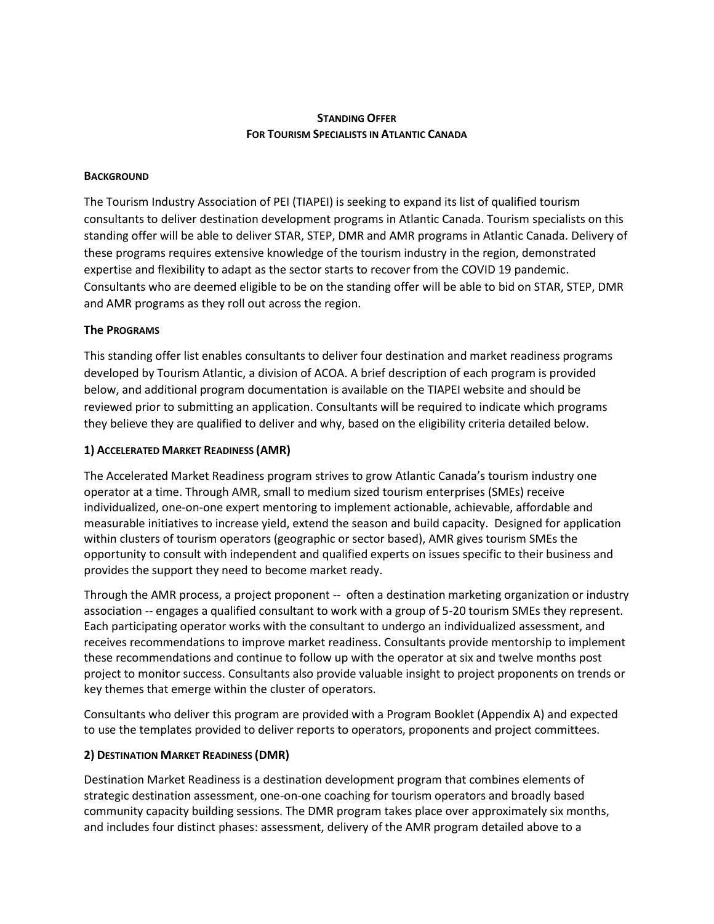# **STANDING OFFER FOR TOURISM SPECIALISTS IN ATLANTIC CANADA**

### **BACKGROUND**

The Tourism Industry Association of PEI (TIAPEI) is seeking to expand its list of qualified tourism consultants to deliver destination development programs in Atlantic Canada. Tourism specialists on this standing offer will be able to deliver STAR, STEP, DMR and AMR programs in Atlantic Canada. Delivery of these programs requires extensive knowledge of the tourism industry in the region, demonstrated expertise and flexibility to adapt as the sector starts to recover from the COVID 19 pandemic. Consultants who are deemed eligible to be on the standing offer will be able to bid on STAR, STEP, DMR and AMR programs as they roll out across the region.

### **The PROGRAMS**

This standing offer list enables consultants to deliver four destination and market readiness programs developed by Tourism Atlantic, a division of ACOA. A brief description of each program is provided below, and additional program documentation is available on the TIAPEI website and should be reviewed prior to submitting an application. Consultants will be required to indicate which programs they believe they are qualified to deliver and why, based on the eligibility criteria detailed below.

### **1) ACCELERATED MARKET READINESS (AMR)**

The Accelerated Market Readiness program strives to grow Atlantic Canada's tourism industry one operator at a time. Through AMR, small to medium sized tourism enterprises (SMEs) receive individualized, one-on-one expert mentoring to implement actionable, achievable, affordable and measurable initiatives to increase yield, extend the season and build capacity. Designed for application within clusters of tourism operators (geographic or sector based), AMR gives tourism SMEs the opportunity to consult with independent and qualified experts on issues specific to their business and provides the support they need to become market ready.

Through the AMR process, a project proponent -- often a destination marketing organization or industry association -- engages a qualified consultant to work with a group of 5-20 tourism SMEs they represent. Each participating operator works with the consultant to undergo an individualized assessment, and receives recommendations to improve market readiness. Consultants provide mentorship to implement these recommendations and continue to follow up with the operator at six and twelve months post project to monitor success. Consultants also provide valuable insight to project proponents on trends or key themes that emerge within the cluster of operators.

Consultants who deliver this program are provided with a Program Booklet (Appendix A) and expected to use the templates provided to deliver reports to operators, proponents and project committees.

## **2) DESTINATION MARKET READINESS (DMR)**

Destination Market Readiness is a destination development program that combines elements of strategic destination assessment, one-on-one coaching for tourism operators and broadly based community capacity building sessions. The DMR program takes place over approximately six months, and includes four distinct phases: assessment, delivery of the AMR program detailed above to a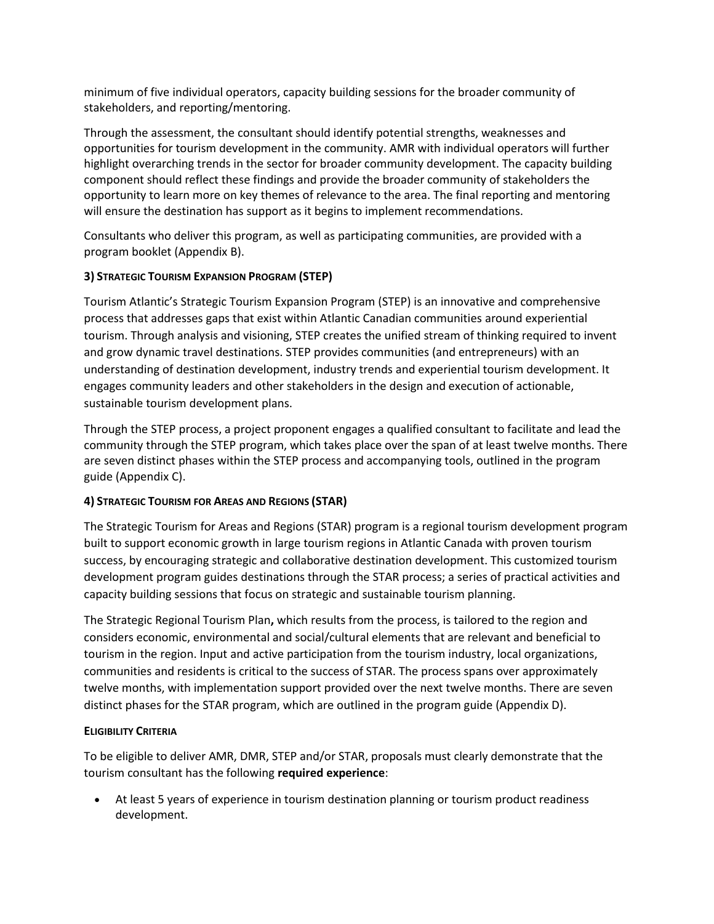minimum of five individual operators, capacity building sessions for the broader community of stakeholders, and reporting/mentoring.

Through the assessment, the consultant should identify potential strengths, weaknesses and opportunities for tourism development in the community. AMR with individual operators will further highlight overarching trends in the sector for broader community development. The capacity building component should reflect these findings and provide the broader community of stakeholders the opportunity to learn more on key themes of relevance to the area. The final reporting and mentoring will ensure the destination has support as it begins to implement recommendations.

Consultants who deliver this program, as well as participating communities, are provided with a program booklet (Appendix B).

## **3) STRATEGIC TOURISM EXPANSION PROGRAM (STEP)**

Tourism Atlantic's Strategic Tourism Expansion Program (STEP) is an innovative and comprehensive process that addresses gaps that exist within Atlantic Canadian communities around experiential tourism. Through analysis and visioning, STEP creates the unified stream of thinking required to invent and grow dynamic travel destinations. STEP provides communities (and entrepreneurs) with an understanding of destination development, industry trends and experiential tourism development. It engages community leaders and other stakeholders in the design and execution of actionable, sustainable tourism development plans.

Through the STEP process, a project proponent engages a qualified consultant to facilitate and lead the community through the STEP program, which takes place over the span of at least twelve months. There are seven distinct phases within the STEP process and accompanying tools, outlined in the program guide (Appendix C).

# **4) STRATEGIC TOURISM FOR AREAS AND REGIONS (STAR)**

The Strategic Tourism for Areas and Regions (STAR) program is a regional tourism development program built to support economic growth in large tourism regions in Atlantic Canada with proven tourism success, by encouraging strategic and collaborative destination development. This customized tourism development program guides destinations through the STAR process; a series of practical activities and capacity building sessions that focus on strategic and sustainable tourism planning.

The Strategic Regional Tourism Plan**,** which results from the process, is tailored to the region and considers economic, environmental and social/cultural elements that are relevant and beneficial to tourism in the region. Input and active participation from the tourism industry, local organizations, communities and residents is critical to the success of STAR. The process spans over approximately twelve months, with implementation support provided over the next twelve months. There are seven distinct phases for the STAR program, which are outlined in the program guide (Appendix D).

## **ELIGIBILITY CRITERIA**

To be eligible to deliver AMR, DMR, STEP and/or STAR, proposals must clearly demonstrate that the tourism consultant has the following **required experience**:

• At least 5 years of experience in tourism destination planning or tourism product readiness development.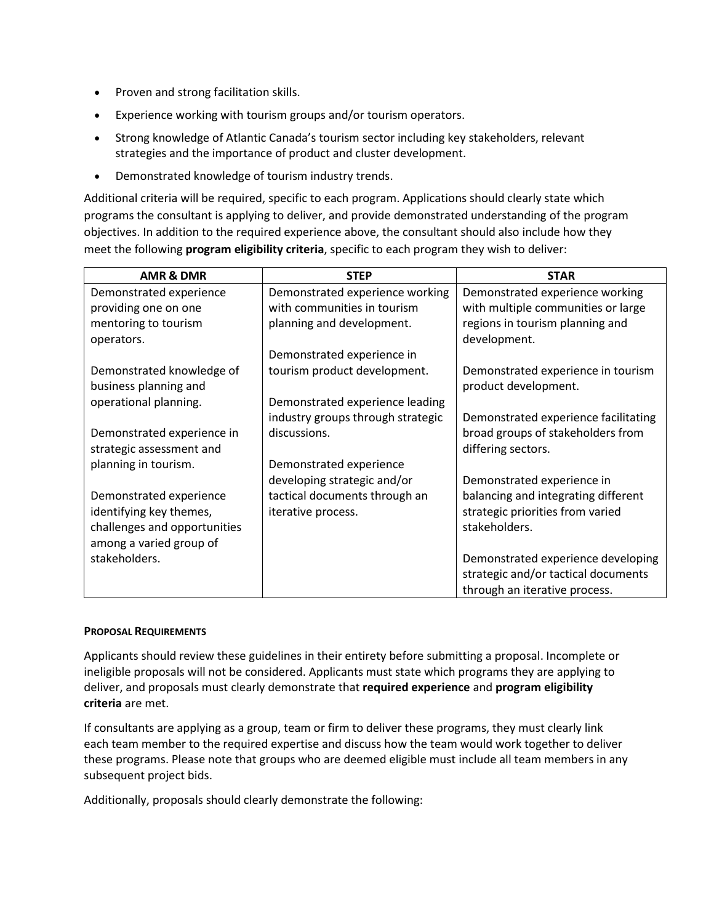- Proven and strong facilitation skills.
- Experience working with tourism groups and/or tourism operators.
- Strong knowledge of Atlantic Canada's tourism sector including key stakeholders, relevant strategies and the importance of product and cluster development.
- Demonstrated knowledge of tourism industry trends.

Additional criteria will be required, specific to each program. Applications should clearly state which programs the consultant is applying to deliver, and provide demonstrated understanding of the program objectives. In addition to the required experience above, the consultant should also include how they meet the following **program eligibility criteria**, specific to each program they wish to deliver:

| <b>AMR &amp; DMR</b>         | <b>STEP</b>                       | <b>STAR</b>                          |
|------------------------------|-----------------------------------|--------------------------------------|
| Demonstrated experience      | Demonstrated experience working   | Demonstrated experience working      |
| providing one on one         | with communities in tourism       | with multiple communities or large   |
| mentoring to tourism         | planning and development.         | regions in tourism planning and      |
| operators.                   |                                   | development.                         |
|                              | Demonstrated experience in        |                                      |
| Demonstrated knowledge of    | tourism product development.      | Demonstrated experience in tourism   |
| business planning and        |                                   | product development.                 |
| operational planning.        | Demonstrated experience leading   |                                      |
|                              | industry groups through strategic | Demonstrated experience facilitating |
| Demonstrated experience in   | discussions.                      | broad groups of stakeholders from    |
| strategic assessment and     |                                   | differing sectors.                   |
| planning in tourism.         | Demonstrated experience           |                                      |
|                              | developing strategic and/or       | Demonstrated experience in           |
| Demonstrated experience      | tactical documents through an     | balancing and integrating different  |
| identifying key themes,      | iterative process.                | strategic priorities from varied     |
| challenges and opportunities |                                   | stakeholders.                        |
| among a varied group of      |                                   |                                      |
| stakeholders.                |                                   | Demonstrated experience developing   |
|                              |                                   | strategic and/or tactical documents  |
|                              |                                   | through an iterative process.        |

#### **PROPOSAL REQUIREMENTS**

Applicants should review these guidelines in their entirety before submitting a proposal. Incomplete or ineligible proposals will not be considered. Applicants must state which programs they are applying to deliver, and proposals must clearly demonstrate that **required experience** and **program eligibility criteria** are met.

If consultants are applying as a group, team or firm to deliver these programs, they must clearly link each team member to the required expertise and discuss how the team would work together to deliver these programs. Please note that groups who are deemed eligible must include all team members in any subsequent project bids.

Additionally, proposals should clearly demonstrate the following: